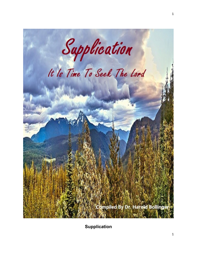

**Supplication**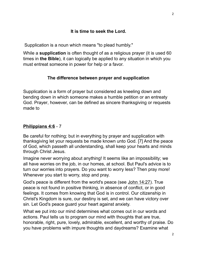Supplication is a noun which means "to plead humbly."

While a **supplication** is often thought of as a religious prayer (it is used 60 times in **the Bible**), it can logically be applied to any situation in which you must entreat someone in power for help or a favor.

# **The difference between prayer and supplication**

Supplication is a form of prayer but considered as kneeling down and bending down in which someone makes a humble petition or an entreaty God. Prayer, however, can be defined as sincere thanksgiving or requests made to

# **[Philippians 4:6](https://www.kingjamesbibleonline.org/Philippians-4-6/)** - 7

Be careful for nothing; but in everything by prayer and supplication with thanksgiving let your requests be made known unto God. [7] And the peace of God, which passeth all understanding, shall keep your hearts and minds through Christ Jesus.

Imagine never worrying about anything! It seems like an impossibility; we all have worries on the job, in our homes, at school. But Paul's advice is to turn our worries into prayers. Do you want to worry less? Then pray more! Whenever you start to worry, stop and pray.

God's peace is different from the world's peace (see [John 14:27\)](http://www.crossbooks.com/verse.asp?ref=Jn+14%3A27). True peace is not found in positive thinking, in absence of conflict, or in good feelings. It comes from knowing that God is in control. Our citizenship in Christ's Kingdom is sure, our destiny is set, and we can have victory over sin. Let God's peace guard your heart against anxiety.

What we put into our mind determines what comes out in our words and actions. Paul tells us to program our mind with thoughts that are true, honorable, right, pure, lovely, admirable, excellent, and worthy of praise. Do you have problems with impure thoughts and daydreams? Examine what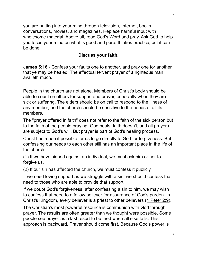you are putting into your mind through television, Internet, books, conversations, movies, and magazines. Replace harmful input with wholesome material. Above all, read God's Word and pray. Ask God to help you focus your mind on what is good and pure. It takes practice, but it can be done.

## **Discuss your faith.**

**[James 5:16](https://www.kingjamesbibleonline.org/James-5-16/)** - Confess your faults one to another, and pray one for another, that ye may be healed. The effectual fervent prayer of a righteous man availeth much.

People in the church are not alone. Members of Christ's body should be able to count on others for support and prayer, especially when they are sick or suffering. The elders should be on call to respond to the illness of any member, and the church should be sensitive to the needs of all its members.

The "prayer offered in faith" does not refer to the faith of the sick person but to the faith of the people praying. God heals, faith doesn't, and all prayers are subject to God's will. But prayer is part of God's healing process.

Christ has made it possible for us to go directly to God for forgiveness. But confessing our needs to each other still has an important place in the life of the church.

(1) If we have sinned against an individual, we must ask him or her to forgive us.

(2) If our sin has affected the church, we must confess it publicly.

If we need loving support as we struggle with a sin, we should confess that need to those who are able to provide that support.

If we doubt God's forgiveness, after confessing a sin to him, we may wish to confess that need to a fellow believer for assurance of God's pardon. In Christ's Kingdom, every believer is a priest to other believers [\(1 Peter 2:9\)](http://www.crossbooks.com/verse.asp?ref=1Pe+2%3A9).

The Christian's most powerful resource is communion with God through prayer. The results are often greater than we thought were possible. Some people see prayer as a last resort to be tried when all else fails. This approach is backward. Prayer should come first. Because God's power is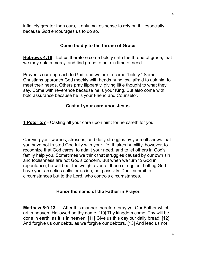infinitely greater than ours, it only makes sense to rely on it—especially because God encourages us to do so.

### **Come boldly to the throne of Grace.**

**[Hebrews 4:16](https://www.kingjamesbibleonline.org/Hebrews-4-16/)** - Let us therefore come boldly unto the throne of grace, that we may obtain mercy, and find grace to help in time of need.

Prayer is our approach to God, and we are to come "boldly." Some Christians approach God meekly with heads hung low, afraid to ask him to meet their needs. Others pray flippantly, giving little thought to what they say. Come with reverence because he is your King. But also come with bold assurance because he is your Friend and Counselor.

### **Cast all your care upon Jesus**.

**[1 Peter 5:7](https://www.kingjamesbibleonline.org/1-Peter-5-7/)** - Casting all your care upon him; for he careth for you.

Carrying your worries, stresses, and daily struggles by yourself shows that you have not trusted God fully with your life. It takes humility, however, to recognize that God cares, to admit your need, and to let others in God's family help you. Sometimes we think that struggles caused by our own sin and foolishness are not God's concern. But when we turn to God in repentance, he will bear the weight even of those struggles. Letting God have your anxieties calls for action, not passivity. Don't submit to circumstances but to the Lord, who controls circumstances.

### **Honor the name of the Father in Prayer.**

**[Matthew 6:9-13](https://www.kingjamesbibleonline.org/Matthew-6-9_6-13/)** - After this manner therefore pray ye: Our Father which art in heaven, Hallowed be thy name. [10] Thy kingdom come. Thy will be done in earth, as it is in heaven. [11] Give us this day our daily bread. [12] And forgive us our debts, as we forgive our debtors. [13] And lead us not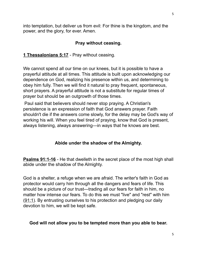into temptation, but deliver us from evil: For thine is the kingdom, and the power, and the glory, for ever. Amen.

### **Pray without ceasing.**

### **[1 Thessalonians 5:17](https://www.kingjamesbibleonline.org/1-Thessalonians-5-17/)** - Pray without ceasing.

We cannot spend all our time on our knees, but it is possible to have a prayerful attitude at all times. This attitude is built upon acknowledging our dependence on God, realizing his presence within us, and determining to obey him fully. Then we will find it natural to pray frequent, spontaneous, short prayers. A prayerful attitude is not a substitute for regular times of prayer but should be an outgrowth of those times.

Paul said that believers should never stop praying. A Christian's persistence is an expression of faith that God answers prayer. Faith shouldn't die if the answers come slowly, for the delay may be God's way of working his will. When you feel tired of praying, know that God is present, always listening, always answering—in ways that he knows are best.

### **Abide under the shadow of the Almighty.**

**[Psalms 91:1-16](https://www.kingjamesbibleonline.org/Psalms-91-1_91-16/)** - He that dwelleth in the secret place of the most high shall abide under the shadow of the Almighty.

God is a shelter, a refuge when we are afraid. The writer's faith in God as protector would carry him through all the dangers and fears of life. This should be a picture of our trust—trading all our fears for faith in him, no matter how intense our fears. To do this we must "live" and "rest" with him [\(91:1\)](http://www.crossbooks.com/verse.asp?ref=Ps+91%3A1). By entrusting ourselves to his protection and pledging our daily devotion to him, we will be kept safe.

### **God will not allow you to be tempted more than you able to bear.**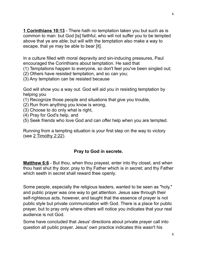**[1 Corinthians 10:13](https://www.kingjamesbibleonline.org/1-Corinthians-10-13/)** - There hath no temptation taken you but such as is common to man: but God [is] faithful, who will not suffer you to be tempted above that ye are able; but will with the temptation also make a way to escape, that ye may be able to bear [it].

In a culture filled with moral depravity and sin-inducing pressures, Paul encouraged the Corinthians about temptation. He said that

(1) Temptations happen to everyone, so don't feel you've been singled out;

- (2) Others have resisted temptation, and so can you;
- (3) Any temptation can be resisted because

God will show you a way out. God will aid you in resisting temptation by helping you

- (1) Recognize those people and situations that give you trouble,
- (2) Run from anything you know is wrong,
- (3) Choose to do only what is right,
- (4) Pray for God's help, and
- (5) Seek friends who love God and can offer help when you are tempted.

Running from a tempting situation is your first step on the way to victory (see [2 Timothy 2:22\)](http://www.crossbooks.com/verse.asp?ref=2Ti+2%3A22).

# **Pray to God in secrete.**

**[Matthew 6:6](https://www.kingjamesbibleonline.org/Matthew-6-6/)** - But thou, when thou prayest, enter into thy closet, and when thou hast shut thy door, pray to thy Father which is in secret; and thy Father which seeth in secret shall reward thee openly.

Some people, especially the religious leaders, wanted to be seen as "holy," and public prayer was one way to get attention. Jesus saw through their self-righteous acts, however, and taught that the essence of prayer is not public style but private communication with God. There is a place for public prayer, but to pray only where others will notice you indicates that your real audience is not God.

Some have concluded that Jesus' directions about private prayer call into question all public prayer. Jesus' own practice indicates this wasn't his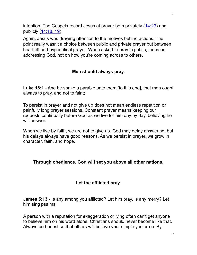intention. The Gospels record Jesus at prayer both privately  $(14:23)$  and publicly [\(14:18, 19\)](http://www.crossbooks.com/verse.asp?ref=Mt+14%3A18-19).

Again, Jesus was drawing attention to the motives behind actions. The point really wasn't a choice between public and private prayer but between heartfelt and hypocritical prayer. When asked to pray in public, focus on addressing God, not on how you're coming across to others.

## **Men should always pray.**

**[Luke 18:1](https://www.kingjamesbibleonline.org/Luke-18-1/)** - And he spake a parable unto them [to this end], that men ought always to pray, and not to faint;

To persist in prayer and not give up does not mean endless repetition or painfully long prayer sessions. Constant prayer means keeping our requests continually before God as we live for him day by day, believing he will answer.

When we live by faith, we are not to give up. God may delay answering, but his delays always have good reasons. As we persist in prayer, we grow in character, faith, and hope.

### **Through obedience, God will set you above all other nations.**

### **Let the afflicted pray.**

**[James 5:13](https://www.kingjamesbibleonline.org/James-5-13/)** - Is any among you afflicted? Let him pray. Is any merry? Let him sing psalms.

A person with a reputation for exaggeration or lying often can't get anyone to believe him on his word alone. Christians should never become like that. Always be honest so that others will believe your simple yes or no. By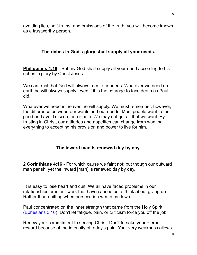avoiding lies, half-truths, and omissions of the truth, you will become known as a trustworthy person.

# **The riches in God's glory shall supply all your needs.**

**[Philippians 4:19](https://www.kingjamesbibleonline.org/Philippians-4-19/)** - But my God shall supply all your need according to his riches in glory by Christ Jesus.

We can trust that God will always meet our needs. Whatever we need on earth he will always supply, even if it is the courage to face death as Paul did.

Whatever we need in heaven he will supply. We must remember, however, the difference between our wants and our needs. Most people want to feel good and avoid discomfort or pain. We may not get all that we want. By trusting in Christ, our attitudes and appetites can change from wanting everything to accepting his provision and power to live for him.

### **The inward man is renewed day by day.**

**[2 Corinthians 4:16](https://www.kingjamesbibleonline.org/2-Corinthians-4-16/)** - For which cause we faint not; but though our outward man perish, yet the inward [man] is renewed day by day.

 It is easy to lose heart and quit. We all have faced problems in our relationships or in our work that have caused us to think about giving up. Rather than quitting when persecution wears us down,

Paul concentrated on the inner strength that came from the Holy Spirit [\(Ephesians 3:16\)](http://www.crossbooks.com/verse.asp?ref=Eph+3%3A16). Don't let fatigue, pain, or criticism force you off the job.

Renew your commitment to serving Christ. Don't forsake your eternal reward because of the intensity of today's pain. Your very weakness allows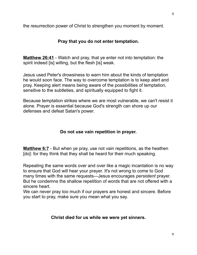the resurrection power of Christ to strengthen you moment by moment.

# **Pray that you do not enter temptation.**

**[Matthew 26:41](https://www.kingjamesbibleonline.org/Matthew-26-41/)** - Watch and pray, that ye enter not into temptation: the spirit indeed [is] willing, but the flesh [is] weak.

Jesus used Peter's drowsiness to warn him about the kinds of temptation he would soon face. The way to overcome temptation is to keep alert and pray. Keeping alert means being aware of the possibilities of temptation, sensitive to the subtleties, and spiritually equipped to fight it.

Because temptation strikes where we are most vulnerable, we can't resist it alone. Prayer is essential because God's strength can shore up our defenses and defeat Satan's power.

### **Do not use vain repetition in prayer.**

**[Matthew 6:7](https://www.kingjamesbibleonline.org/Matthew-6-7/)** - But when ye pray, use not vain repetitions, as the heathen [do]: for they think that they shall be heard for their much speaking.

Repeating the same words over and over like a magic incantation is no way to ensure that God will hear your prayer. It's not wrong to come to God many times with the same requests—Jesus encourages *persistent* prayer. But he condemns the shallow repetition of words that are not offered with a sincere heart.

We can never pray too much if our prayers are honest and sincere. Before you start to pray, make sure you mean what you say.

### **Christ died for us while we were yet sinners.**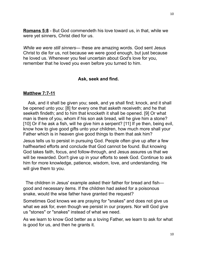**[Romans 5:8](https://www.kingjamesbibleonline.org/Romans-5-8/)** - But God commendeth his love toward us, in that, while we were yet sinners, Christ died for us.

*While we were still sinners—* these are amazing words. God sent Jesus Christ to die for us, not because we were good enough, but just because he loved us. Whenever you feel uncertain about God's love for you, remember that he loved you even before you turned to him.

#### **Ask, seek and find.**

#### **[Matthew 7:7-11](https://www.kingjamesbibleonline.org/Matthew-7-7_7-11/)**

 Ask, and it shall be given you; seek, and ye shall find; knock, and it shall be opened unto you: [8] for every one that asketh receiveth; and he that seeketh findeth; and to him that knocketh it shall be opened. [9] Or what man is there of you, whom if his son ask bread, will he give him a stone? [10] Or if he ask a fish, will he give him a serpent? [11] If ye then, being evil, know how to give good gifts unto your children, how much more shall your Father which is in heaven give good things to them that ask him?

Jesus tells us to persist in pursuing God. People often give up after a few halfhearted efforts and conclude that God cannot be found. But knowing God takes faith, focus, and follow-through, and Jesus assures us that we will be rewarded. Don't give up in your efforts to seek God. Continue to ask him for more knowledge, patience, wisdom, love, and understanding. He will give them to you.

 The children in Jesus' example asked their father for bread and fish good and necessary items. If the children had asked for a poisonous snake, would the wise father have granted the request?

Sometimes God knows we are praying for "snakes" and does not give us what we ask for, even though we persist in our prayers. Nor will God give us "stones" or "snakes" instead of what we need.

As we learn to know God better as a loving Father, we learn to ask for what is good for us, and then he grants it.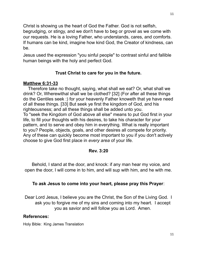Christ is showing us the heart of God the Father. God is not selfish, begrudging, or stingy, and we don't have to beg or grovel as we come with our requests. He is a loving Father, who understands, cares, and comforts. If humans can be kind, imagine how kind God, the Creator of kindness, can be.

Jesus used the expression "you sinful people" to contrast sinful and fallible human beings with the holy and perfect God.

# **Trust Christ to care for you in the future.**

# **[Matthew 6:31-33](https://www.kingjamesbibleonline.org/Matthew-6-31_6-33/)**

 Therefore take no thought, saying, what shall we eat? Or, what shall we drink? Or, Wherewithal shall we be clothed? [32] (For after all these things do the Gentiles seek :) for your heavenly Father knoweth that ye have need of all these things. [33] But seek ye first the kingdom of God, and his righteousness; and all these things shall be added unto you. To "seek the Kingdom of God above all else" means to put God first in your life, to fill your thoughts with his desires, to take his character for your pattern, and to serve and obey him in everything. What is really important to you? People, objects, goals, and other desires all compete for priority. Any of these can quickly become most important to you if you don't actively choose to give God first place in *every area* of your life.

### **Rev. 3:20**

 Behold, I stand at the door, and knock: if any man hear my voice, and open the door, I will come in to him, and will sup with him, and he with me.

# **To ask Jesus to come into your heart, please pray this Prayer**:

Dear Lord Jesus, I believe you are the Christ, the Son of the Living God. I ask you to forgive me of my sins and coming into my heart. I accept you as savior and will follow you as Lord. Amen.

# **References:**

Holy Bible: King James Translation